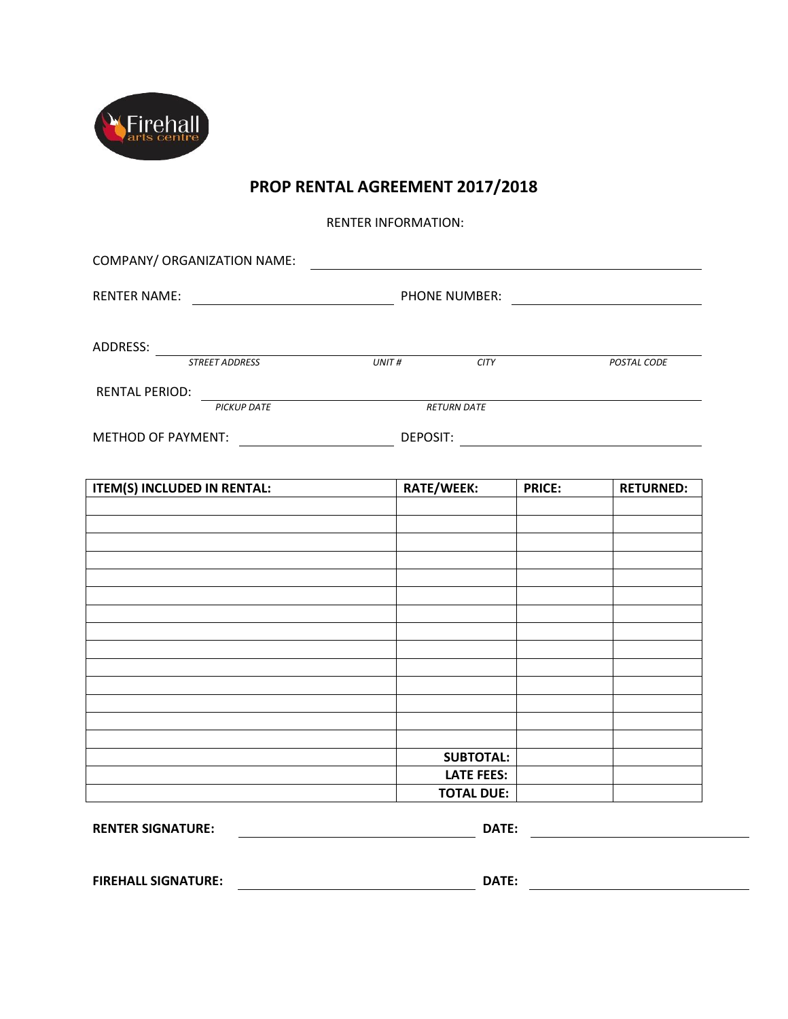

## **PROP RENTAL AGREEMENT 2017/2018**

RENTER INFORMATION:

|                           | COMPANY/ ORGANIZATION NAME: |                      |                    |             |
|---------------------------|-----------------------------|----------------------|--------------------|-------------|
| <b>RENTER NAME:</b>       |                             | <b>PHONE NUMBER:</b> |                    |             |
| ADDRESS:                  | <b>STREET ADDRESS</b>       | UNIT#                | <b>CITY</b>        | POSTAL CODE |
| <b>RENTAL PERIOD:</b>     | <b>PICKUP DATE</b>          |                      | <b>RETURN DATE</b> |             |
| <b>METHOD OF PAYMENT:</b> |                             | <b>DEPOSIT:</b>      |                    |             |

| ITEM(S) INCLUDED IN RENTAL: | RATE/WEEK:        | <b>PRICE:</b> | <b>RETURNED:</b> |
|-----------------------------|-------------------|---------------|------------------|
|                             |                   |               |                  |
|                             |                   |               |                  |
|                             |                   |               |                  |
|                             |                   |               |                  |
|                             |                   |               |                  |
|                             |                   |               |                  |
|                             |                   |               |                  |
|                             |                   |               |                  |
|                             |                   |               |                  |
|                             |                   |               |                  |
|                             |                   |               |                  |
|                             |                   |               |                  |
|                             |                   |               |                  |
|                             |                   |               |                  |
|                             | <b>SUBTOTAL:</b>  |               |                  |
|                             | <b>LATE FEES:</b> |               |                  |
|                             | <b>TOTAL DUE:</b> |               |                  |

| <b>RENTER SIGNATURE:</b> | ־ד∆ח<br>. |  |
|--------------------------|-----------|--|
|                          |           |  |

**FIREHALL SIGNATURE: DATE:**